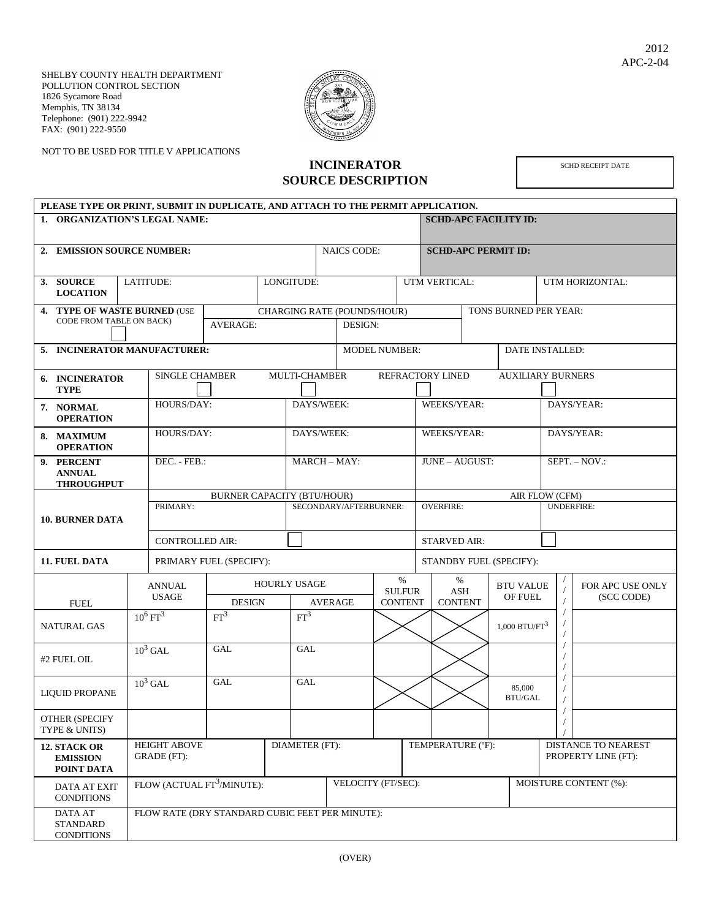SHELBY COUNTY HEALTH DEPARTMENT POLLUTION CONTROL SECTION 1826 Sycamore Road Memphis, TN 38134 Telephone: (901) 222-9942 FAX: (901) 222-9550

NOT TO BE USED FOR TITLE V APPLICATIONS



## **INCINERATOR SOURCE DESCRIPTION**

SCHD RECEIPT DATE

|                                               | PLEASE TYPE OR PRINT, SUBMIT IN DUPLICATE, AND ATTACH TO THE PERMIT APPLICATION. |                        |                                                 |                                   |            |                                       |                                        |               |                                         |                            |                               |                                     |                                            |                                |  |
|-----------------------------------------------|----------------------------------------------------------------------------------|------------------------|-------------------------------------------------|-----------------------------------|------------|---------------------------------------|----------------------------------------|---------------|-----------------------------------------|----------------------------|-------------------------------|-------------------------------------|--------------------------------------------|--------------------------------|--|
| 1. ORGANIZATION'S LEGAL NAME:                 |                                                                                  |                        |                                                 |                                   |            |                                       |                                        |               | <b>SCHD-APC FACILITY ID:</b>            |                            |                               |                                     |                                            |                                |  |
|                                               | 2. EMISSION SOURCE NUMBER:                                                       |                        |                                                 |                                   |            |                                       | <b>NAICS CODE:</b>                     |               |                                         | <b>SCHD-APC PERMIT ID:</b> |                               |                                     |                                            |                                |  |
|                                               | <b>LATITUDE:</b><br>3. SOURCE<br><b>LOCATION</b>                                 |                        |                                                 | LONGITUDE:                        |            |                                       |                                        | UTM VERTICAL: |                                         |                            | UTM HORIZONTAL:               |                                     |                                            |                                |  |
|                                               | <b>4. TYPE OF WASTE BURNED (USE</b><br>CODE FROM TABLE ON BACK)                  |                        |                                                 | <b>AVERAGE:</b>                   |            |                                       | CHARGING RATE (POUNDS/HOUR)<br>DESIGN: |               |                                         | TONS BURNED PER YEAR:      |                               |                                     |                                            |                                |  |
| 5. INCINERATOR MANUFACTURER:                  |                                                                                  |                        |                                                 |                                   |            | <b>MODEL NUMBER:</b>                  |                                        |               |                                         |                            |                               |                                     | DATE INSTALLED:                            |                                |  |
| 6. INCINERATOR<br><b>TYPE</b>                 |                                                                                  |                        | <b>SINGLE CHAMBER</b>                           |                                   |            | <b>MULTI-CHAMBER</b>                  |                                        |               |                                         | REFRACTORY LINED           |                               |                                     | <b>AUXILIARY BURNERS</b>                   |                                |  |
|                                               | 7. NORMAL<br><b>OPERATION</b>                                                    |                        | HOURS/DAY:                                      |                                   | DAYS/WEEK: |                                       |                                        |               | WEEKS/YEAR:                             |                            |                               | DAYS/YEAR:                          |                                            |                                |  |
|                                               | 8. MAXIMUM<br><b>OPERATION</b>                                                   |                        | HOURS/DAY:                                      |                                   |            |                                       | DAYS/WEEK:                             |               |                                         | <b>WEEKS/YEAR:</b>         |                               |                                     | DAYS/YEAR:                                 |                                |  |
|                                               | 9. PERCENT<br><b>ANNUAL</b><br><b>THROUGHPUT</b>                                 |                        | DEC. - FEB.:                                    |                                   |            | <b>MARCH-MAY:</b>                     |                                        |               |                                         | <b>JUNE - AUGUST:</b>      |                               |                                     | $SEPT. - NOV.$                             |                                |  |
|                                               |                                                                                  |                        |                                                 | <b>BURNER CAPACITY (BTU/HOUR)</b> |            |                                       |                                        |               |                                         |                            |                               | AIR FLOW (CFM)<br><b>UNDERFIRE:</b> |                                            |                                |  |
| <b>10. BURNER DATA</b>                        |                                                                                  | PRIMARY:               |                                                 |                                   |            | SECONDARY/AFTERBURNER:                |                                        |               |                                         | <b>OVERFIRE:</b>           |                               |                                     |                                            |                                |  |
|                                               |                                                                                  |                        | <b>CONTROLLED AIR:</b>                          |                                   |            |                                       |                                        |               | <b>STARVED AIR:</b>                     |                            |                               |                                     |                                            |                                |  |
|                                               | <b>11. FUEL DATA</b>                                                             |                        |                                                 | PRIMARY FUEL (SPECIFY):           |            |                                       |                                        |               | STANDBY FUEL (SPECIFY):                 |                            |                               |                                     |                                            |                                |  |
| <b>FUEL</b>                                   |                                                                                  |                        | <b>ANNUAL</b><br><b>USAGE</b>                   | <b>DESIGN</b>                     |            | <b>HOURLY USAGE</b><br><b>AVERAGE</b> |                                        |               | $\%$<br><b>SULFUR</b><br><b>CONTENT</b> |                            | $\%$<br>ASH<br><b>CONTENT</b> | <b>BTU VALUE</b><br>OF FUEL         |                                            | FOR APC USE ONLY<br>(SCC CODE) |  |
| <b>NATURAL GAS</b>                            |                                                                                  | $10^6 \,\mathrm{FT}^3$ |                                                 | FT <sup>3</sup>                   |            | FT <sup>3</sup>                       |                                        |               |                                         |                            |                               | $1,000$ BTU/FT $^3$                 |                                            |                                |  |
|                                               | #2 FUEL OIL                                                                      |                        | $10^3$ GAL                                      | <b>GAL</b>                        |            | <b>GAL</b>                            |                                        |               |                                         |                            |                               |                                     |                                            |                                |  |
| <b>LIQUID PROPANE</b>                         |                                                                                  |                        | $10^3$ GAL                                      | <b>GAL</b>                        |            | GAL                                   |                                        |               |                                         |                            | 85,000<br>BTU/GAL             |                                     |                                            |                                |  |
|                                               | <b>OTHER (SPECIFY</b><br>TYPE & UNITS)                                           |                        |                                                 |                                   |            |                                       |                                        |               |                                         |                            |                               |                                     |                                            |                                |  |
| 12. STACK OR<br><b>EMISSION</b><br>POINT DATA |                                                                                  |                        | <b>HEIGHT ABOVE</b><br>GRADE (FT):              |                                   |            | DIAMETER (FT):                        |                                        |               |                                         | TEMPERATURE (°F):          |                               |                                     | DISTANCE TO NEAREST<br>PROPERTY LINE (FT): |                                |  |
| <b>DATA AT EXIT</b><br><b>CONDITIONS</b>      |                                                                                  |                        | FLOW (ACTUAL FT <sup>3</sup> /MINUTE):          |                                   |            | VELOCITY (FT/SEC):                    |                                        |               |                                         |                            |                               |                                     | MOISTURE CONTENT (%):                      |                                |  |
|                                               | <b>DATA AT</b><br><b>STANDARD</b><br><b>CONDITIONS</b>                           |                        | FLOW RATE (DRY STANDARD CUBIC FEET PER MINUTE): |                                   |            |                                       |                                        |               |                                         |                            |                               |                                     |                                            |                                |  |